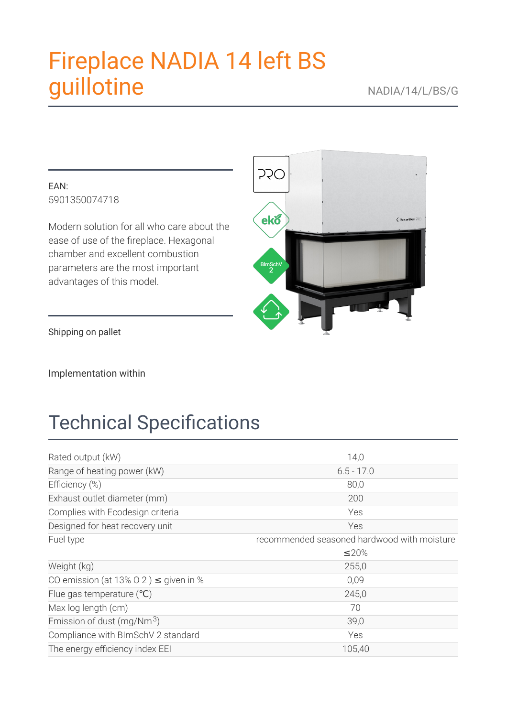# **Fireplace NADIA 14 left BS** guillotine

### EAN: 5901350074718

Modern solution for all who care about the ease of use of the fireplace. Hexagonal chamber and excellent combustion parameters are the most important advantages of this model.



Shipping on pallet

Implementation within

# **Technical Specifications**

| Rated output (kW)                          | 14,0                                        |
|--------------------------------------------|---------------------------------------------|
| Range of heating power (kW)                | $6.5 - 17.0$                                |
| Efficiency (%)                             | 80,0                                        |
| Exhaust outlet diameter (mm)               | 200                                         |
| Complies with Ecodesign criteria           | Yes                                         |
| Designed for heat recovery unit            | Yes                                         |
| Fuel type                                  | recommended seasoned hardwood with moisture |
|                                            | $\leq$ 20%                                  |
| Weight (kg)                                | 255,0                                       |
| CO emission (at 13% 0 2) $\leq$ given in % | 0,09                                        |
| Flue gas temperature (°C)                  | 245,0                                       |
| Max log length (cm)                        | 70                                          |
| Emission of dust (mg/Nm $3$ )              | 39,0                                        |
| Compliance with BImSchV 2 standard         | Yes                                         |
| The energy efficiency index EEI            | 105,40                                      |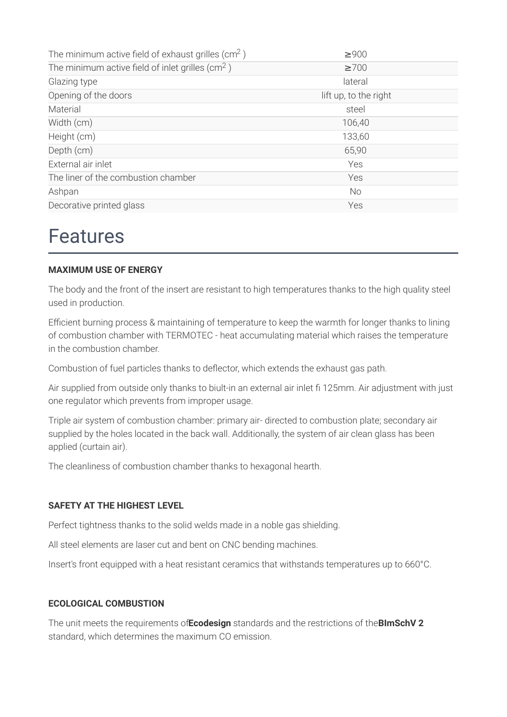| The minimum active field of exhaust grilles ( $\text{cm}^2$ ) | $\geq 900$            |
|---------------------------------------------------------------|-----------------------|
| The minimum active field of inlet grilles ( $\text{cm}^2$ )   | $\geq 700$            |
| Glazing type                                                  | lateral               |
| Opening of the doors                                          | lift up, to the right |
| Material                                                      | steel                 |
| Width (cm)                                                    | 106,40                |
| Height (cm)                                                   | 133,60                |
| Depth (cm)                                                    | 65,90                 |
| External air inlet                                            | Yes                   |
| The liner of the combustion chamber                           | Yes                   |
| Ashpan                                                        | No                    |
| Decorative printed glass                                      | Yes                   |

### **Features**

#### **MAXIMUM USE OF ENERGY**

The body and the front of the insert are resistant to high temperatures thanks to the high quality steel used in production.

Efficient burning process & maintaining of temperature to keep the warmth for longer thanks to lining of combustion chamber with TERMOTEC - heat accumulating material which raises the temperature in the combustion chamber.

Combustion of fuel particles thanks to deflector, which extends the exhaust gas path.

Air supplied from outside only thanks to biult-in an external air inlet fi 125mm. Air adjustment with just one regulator which prevents from improper usage.

Triple air system of combustion chamber: primary air-directed to combustion plate; secondary air supplied by the holes located in the back wall. Additionally, the system of air clean glass has been applied (curtain air).

The cleanliness of combustion chamber thanks to hexagonal hearth.

#### **SAFETY AT THE HIGHEST LEVEL**

Perfect tightness thanks to the solid welds made in a noble gas shielding.

All steel elements are laser cut and bent on CNC bending machines.

Insert's front equipped with a heat resistant ceramics that withstands temperatures up to 660°C.

#### **ECOLOGICAL COMBUSTION**

The unit meets the requirements of Ecodesian standards and the restrictions of the BImSchV 2 standard, which determines the maximum CO emission.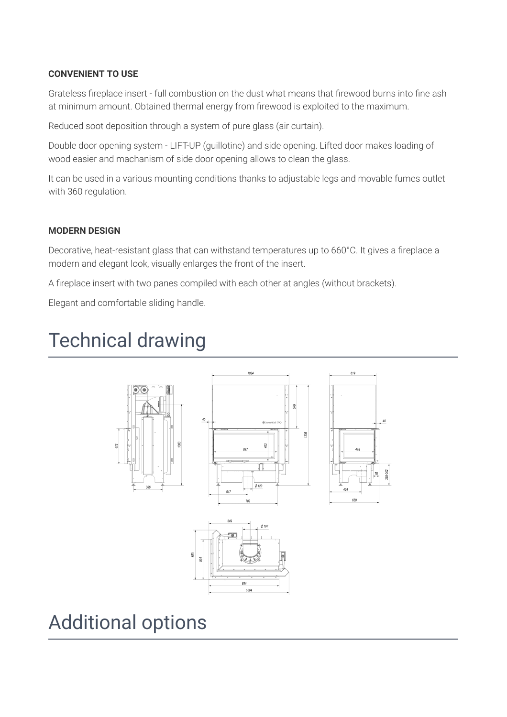#### **CONVENIENT TO USE**

Grateless fireplace insert - full combustion on the dust what means that firewood burns into fine ash at minimum amount. Obtained thermal energy from firewood is exploited to the maximum.

Reduced soot deposition through a system of pure glass (air curtain).

Double door opening system - LIFT-UP (quillotine) and side opening. Lifted door makes loading of wood easier and machanism of side door opening allows to clean the glass.

It can be used in a various mounting conditions thanks to adjustable legs and movable fumes outlet with 360 regulation.

#### **MODERN DESIGN**

Decorative, heat-resistant glass that can withstand temperatures up to 660°C. It gives a fireplace a modern and elegant look, visually enlarges the front of the insert.

A fireplace insert with two panes compiled with each other at angles (without brackets).

Elegant and comfortable sliding handle.

# **Technical drawing**





## **Additional options**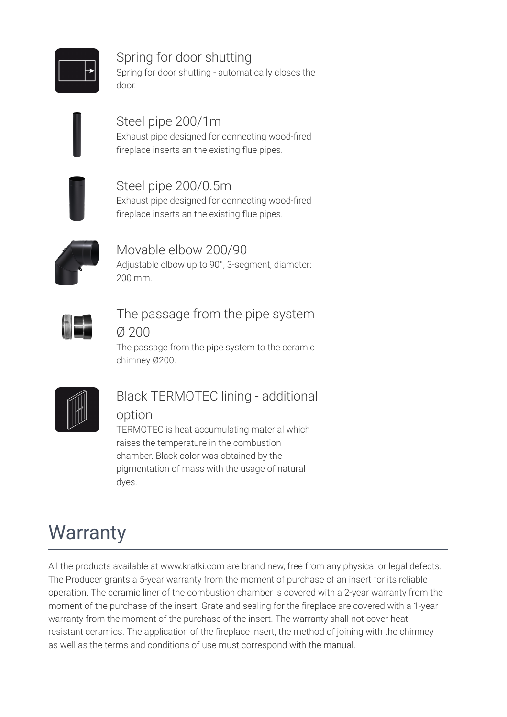

### Spring for door shutting Spring for door shutting - automatically closes the

door.

### Steel pipe 200/1m

Exhaust pipe designed for connecting wood-fired fireplace inserts an the existing flue pipes.

### Steel pipe 200/0.5m

Exhaust pipe designed for connecting wood-fired fireplace inserts an the existing flue pipes.



### Movable elbow 200/90

Adjustable elbow up to 90°, 3-segment, diameter:  $200 \text{ mm}$ 

### The passage from the pipe system  $0.200$

The passage from the pipe system to the ceramic chimney Ø200.



# **Black TERMOTEC lining - additional**

### option

TERMOTEC is heat accumulating material which raises the temperature in the combustion chamber. Black color was obtained by the pigmentation of mass with the usage of natural dyes.

# **Warranty**

All the products available at www.kratki.com are brand new, free from any physical or legal defects. The Producer grants a 5-year warranty from the moment of purchase of an insert for its reliable operation. The ceramic liner of the combustion chamber is covered with a 2-year warranty from the moment of the purchase of the insert. Grate and sealing for the fireplace are covered with a 1-year warranty from the moment of the purchase of the insert. The warranty shall not cover heatresistant ceramics. The application of the fireplace insert, the method of joining with the chimney as well as the terms and conditions of use must correspond with the manual.